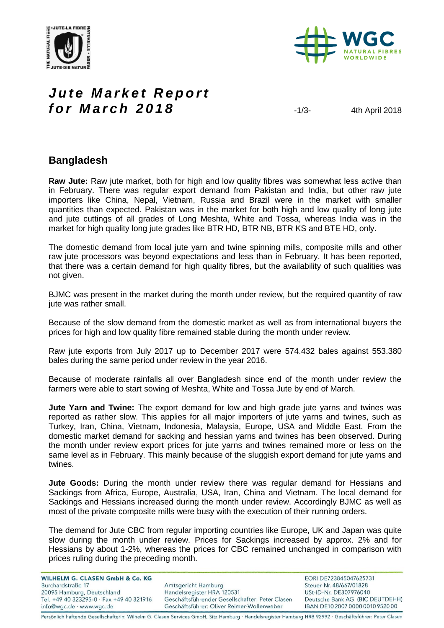



# *Jute Market Report f o r M a r c h 201 8* -1/3- 4th April <sup>2018</sup>

#### **Bangladesh**

**Raw Jute:** Raw jute market, both for high and low quality fibres was somewhat less active than in February. There was regular export demand from Pakistan and India, but other raw jute importers like China, Nepal, Vietnam, Russia and Brazil were in the market with smaller quantities than expected. Pakistan was in the market for both high and low quality of long jute and jute cuttings of all grades of Long Meshta, White and Tossa, whereas India was in the market for high quality long jute grades like BTR HD, BTR NB, BTR KS and BTE HD, only.

The domestic demand from local jute yarn and twine spinning mills, composite mills and other raw jute processors was beyond expectations and less than in February. It has been reported, that there was a certain demand for high quality fibres, but the availability of such qualities was not given.

BJMC was present in the market during the month under review, but the required quantity of raw jute was rather small.

Because of the slow demand from the domestic market as well as from international buyers the prices for high and low quality fibre remained stable during the month under review.

Raw jute exports from July 2017 up to December 2017 were 574.432 bales against 553.380 bales during the same period under review in the year 2016.

Because of moderate rainfalls all over Bangladesh since end of the month under review the farmers were able to start sowing of Meshta, White and Tossa Jute by end of March.

**Jute Yarn and Twine:** The export demand for low and high grade jute yarns and twines was reported as rather slow. This applies for all major importers of jute yarns and twines, such as Turkey, Iran, China, Vietnam, Indonesia, Malaysia, Europe, USA and Middle East. From the domestic market demand for sacking and hessian yarns and twines has been observed. During the month under review export prices for jute yarns and twines remained more or less on the same level as in February. This mainly because of the sluggish export demand for jute yarns and twines.

**Jute Goods:** During the month under review there was regular demand for Hessians and Sackings from Africa, Europe, Australia, USA, Iran, China and Vietnam. The local demand for Sackings and Hessians increased during the month under review. Accordingly BJMC as well as most of the private composite mills were busy with the execution of their running orders.

The demand for Jute CBC from regular importing countries like Europe, UK and Japan was quite slow during the month under review. Prices for Sackings increased by approx. 2% and for Hessians by about 1-2%, whereas the prices for CBC remained unchanged in comparison with prices ruling during the preceding month.

| <b>WILHELM G. CLASEN GmbH &amp; Co. KG</b> |                                                 | EORI DE723845047625731           |
|--------------------------------------------|-------------------------------------------------|----------------------------------|
| Burchardstraße 17                          | Amtsgericht Hamburg                             | Steuer-Nr. 48/667/01828          |
| 20095 Hamburg, Deutschland                 | Handelsregister HRA 120531                      | USt-ID-Nr. DE307976040           |
| Tel. +49 40 323295-0 · Fax +49 40 321916   | Geschäftsführender Gesellschafter: Peter Clasen | Deutsche Bank AG (BIC DEUTDEHH)  |
| info@wgc.de · www.wgc.de                   | Geschäftsführer: Oliver Reimer-Wollenweber      | IBAN DE10 2007 0000 0010 9520 00 |

Persönlich haftende Gesellschafterin: Wilhelm G. Clasen Services GmbH, Sitz Hamburg · Handelsregister Hamburg HRB 92992 · Geschäftsführer: Peter Clasen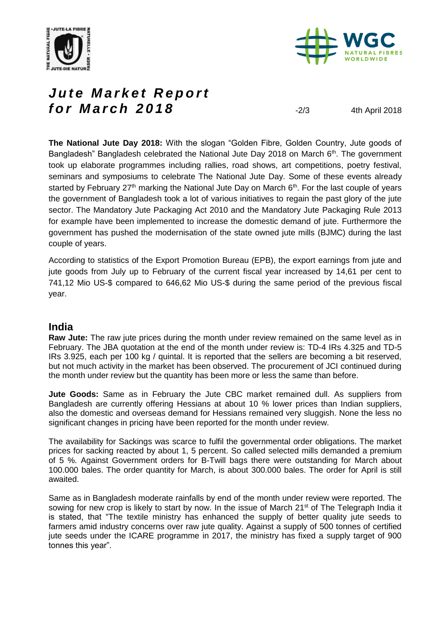



# Jute Market Report **for March 2018**  $\frac{2018}{201}$   $\frac{203}{4}$   $\frac{4 \text{th April 2018}}{201}$

**The National Jute Day 2018:** With the slogan "Golden Fibre, Golden Country, Jute goods of Bangladesh" Bangladesh celebrated the National Jute Day 2018 on March  $6<sup>th</sup>$ . The government took up elaborate programmes including rallies, road shows, art competitions, poetry festival, seminars and symposiums to celebrate The National Jute Day. Some of these events already started by February  $27<sup>th</sup>$  marking the National Jute Day on March  $6<sup>th</sup>$ . For the last couple of years the government of Bangladesh took a lot of various initiatives to regain the past glory of the jute sector. The Mandatory Jute Packaging Act 2010 and the Mandatory Jute Packaging Rule 2013 for example have been implemented to increase the domestic demand of jute. Furthermore the government has pushed the modernisation of the state owned jute mills (BJMC) during the last couple of years.

According to statistics of the Export Promotion Bureau (EPB), the export earnings from jute and jute goods from July up to February of the current fiscal year increased by 14,61 per cent to 741,12 Mio US-\$ compared to 646,62 Mio US-\$ during the same period of the previous fiscal year.

#### **India**

**Raw Jute:** The raw jute prices during the month under review remained on the same level as in February. The JBA quotation at the end of the month under review is: TD-4 IRs 4.325 and TD-5 IRs 3.925, each per 100 kg / quintal. It is reported that the sellers are becoming a bit reserved, but not much activity in the market has been observed. The procurement of JCI continued during the month under review but the quantity has been more or less the same than before.

**Jute Goods:** Same as in February the Jute CBC market remained dull. As suppliers from Bangladesh are currently offering Hessians at about 10 % lower prices than Indian suppliers, also the domestic and overseas demand for Hessians remained very sluggish. None the less no significant changes in pricing have been reported for the month under review.

The availability for Sackings was scarce to fulfil the governmental order obligations. The market prices for sacking reacted by about 1, 5 percent. So called selected mills demanded a premium of 5 %. Against Government orders for B-Twill bags there were outstanding for March about 100.000 bales. The order quantity for March, is about 300.000 bales. The order for April is still awaited.

Same as in Bangladesh moderate rainfalls by end of the month under review were reported. The sowing for new crop is likely to start by now. In the issue of March 21<sup>st</sup> of The Telegraph India it is stated, that "The textile ministry has enhanced the supply of better quality jute seeds to farmers amid industry concerns over raw jute quality. Against a supply of 500 tonnes of certified jute seeds under the ICARE programme in 2017, the ministry has fixed a supply target of 900 tonnes this year".